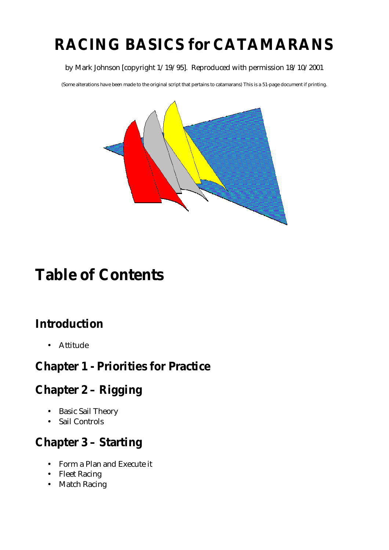# **RACING BASICS for CATAMARANS**

#### by Mark Johnson [copyright 1/19/95]. Reproduced with permission 18/10/2001

(Some alterations have been made to the original script that pertains to catamarans) This is a 51-page document if printing.



# **Table of Contents**

## **Introduction**

• Attitude

## **Chapter 1 - Priorities for Practice**

## **Chapter 2 – Rigging**

- Basic Sail Theory
- Sail Controls

## **Chapter 3 – Starting**

- Form a Plan and Execute it
- Fleet Racing
- Match Racing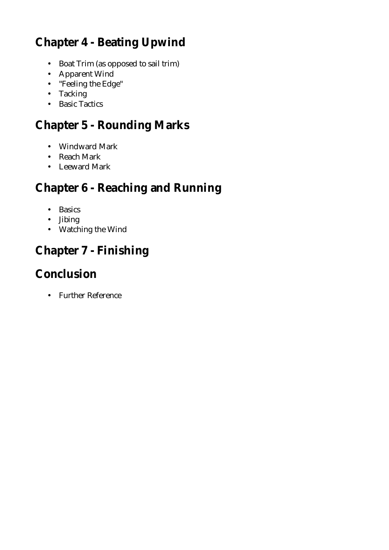# **Chapter 4 - Beating Upwind**

- Boat Trim (as opposed to sail trim)
- Apparent Wind
- "Feeling the Edge"
- Tacking
- Basic Tactics

# **Chapter 5 - Rounding Marks**

- Windward Mark
- Reach Mark
- Leeward Mark

## **Chapter 6 - Reaching and Running**

- Basics
- Jibing
- Watching the Wind

# **Chapter 7 - Finishing**

## **Conclusion**

• Further Reference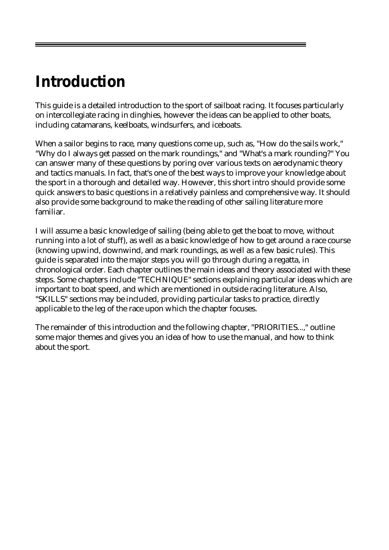# **Introduction**

This guide is a detailed introduction to the sport of sailboat racing. It focuses particularly on intercollegiate racing in dinghies, however the ideas can be applied to other boats, including catamarans, keelboats, windsurfers, and iceboats.

When a sailor begins to race, many questions come up, such as, "How do the sails work," "Why do I always get passed on the mark roundings," and "What's a mark rounding?" You can answer many of these questions by poring over various texts on aerodynamic theory and tactics manuals. In fact, that's one of the best ways to improve your knowledge about the sport in a thorough and detailed way. However, this short intro should provide some quick answers to basic questions in a relatively painless and comprehensive way. It should also provide some background to make the reading of other sailing literature more familiar.

I will assume a basic knowledge of sailing (being able to get the boat to move, without running into a lot of stuff), as well as a basic knowledge of how to get around a race course (knowing upwind, downwind, and mark roundings, as well as a few basic rules). This guide is separated into the major steps you will go through during a regatta, in chronological order. Each chapter outlines the main ideas and theory associated with these steps. Some chapters include "TECHNIQUE" sections explaining particular ideas which are important to boat speed, and which are mentioned in outside racing literature. Also, "SKILLS" sections may be included, providing particular tasks to practice, directly applicable to the leg of the race upon which the chapter focuses.

The remainder of this introduction and the following chapter, "PRIORITIES...," outline some major themes and gives you an idea of how to use the manual, and how to think about the sport.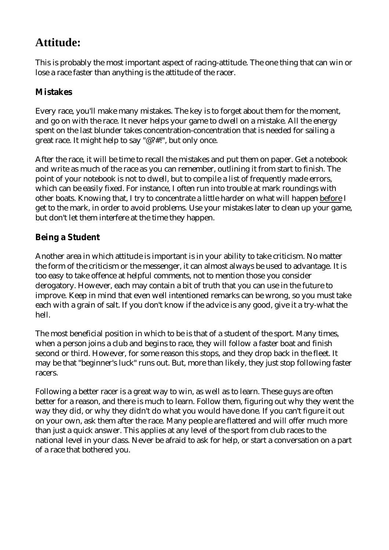### **Attitude:**

This is probably the most important aspect of racing-attitude. The one thing that can win or lose a race faster than anything is the attitude of the racer.

### **Mistakes**

Every race, you'll make many mistakes. The key is to forget about them for the moment, and go on with the race. It never helps your game to dwell on a mistake. All the energy spent on the last blunder takes concentration-concentration that is needed for sailing a great race. It might help to say "@?#!", but only once.

After the race, it will be time to recall the mistakes and put them on paper. Get a notebook and write as much of the race as you can remember, outlining it from start to finish. The point of your notebook is not to dwell, but to compile a list of frequently made errors, which can be easily fixed. For instance, I often run into trouble at mark roundings with other boats. Knowing that, I try to concentrate a little harder on what will happen before I get to the mark, in order to avoid problems. Use your mistakes later to clean up your game, but don't let them interfere at the time they happen.

### **Being a Student**

Another area in which attitude is important is in your ability to take criticism. No matter the form of the criticism or the messenger, it can almost always be used to advantage. It is too easy to take offence at helpful comments, not to mention those you consider derogatory. However, each may contain a bit of truth that you can use in the future to improve. Keep in mind that even well intentioned remarks can be wrong, so you must take each with a grain of salt. If you don't know if the advice is any good, give it a try-what the hell.

The most beneficial position in which to be is that of a student of the sport. Many times, when a person joins a club and begins to race, they will follow a faster boat and finish second or third. However, for some reason this stops, and they drop back in the fleet. It may be that "beginner's luck" runs out. But, more than likely, they just stop following faster racers.

Following a better racer is a great way to win, as well as to learn. These guys are often better for a reason, and there is much to learn. Follow them, figuring out why they went the way they did, or why they didn't do what you would have done. If you can't figure it out on your own, ask them after the race. Many people are flattered and will offer much more than just a quick answer. This applies at any level of the sport from club races to the national level in your class. Never be afraid to ask for help, or start a conversation on a part of a race that bothered you.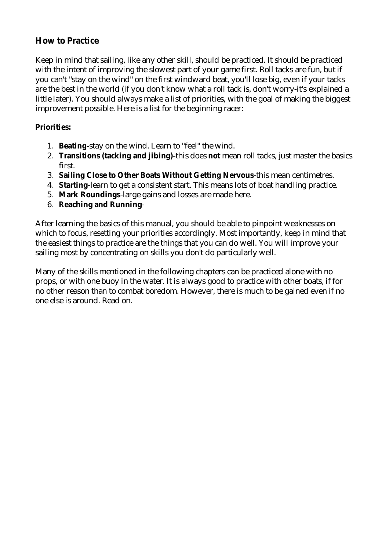#### **How to Practice**

Keep in mind that sailing, like any other skill, should be practiced. It should be practiced with the intent of improving the slowest part of your game first. Roll tacks are fun, but if you can't "stay on the wind" on the first windward beat, you'll lose big, even if your tacks are the best in the world (if you don't know what a roll tack is, don't worry-it's explained a little later). You should always make a list of priorities, with the goal of making the biggest improvement possible. Here is a list for the beginning racer:

#### **Priorities:**

- 1. **Beating**-stay on the wind. Learn to "feel" the wind.
- 2. **Transitions (tacking and jibing)**-this does **not** mean roll tacks, just master the basics first.
- 3. **Sailing Close to Other Boats Without Getting Nervous**-this mean centimetres.
- 4. **Starting**-learn to get a consistent start. This means lots of boat handling practice.
- 5. **Mark Roundings**-large gains and losses are made here.
- 6. **Reaching and Running**-

After learning the basics of this manual, you should be able to pinpoint weaknesses on which to focus, resetting your priorities accordingly. Most importantly, keep in mind that the easiest things to practice are the things that you can do well. You will improve your sailing most by concentrating on skills you don't do particularly well.

Many of the skills mentioned in the following chapters can be practiced alone with no props, or with one buoy in the water. It is always good to practice with other boats, if for no other reason than to combat boredom. However, there is much to be gained even if no one else is around. Read on.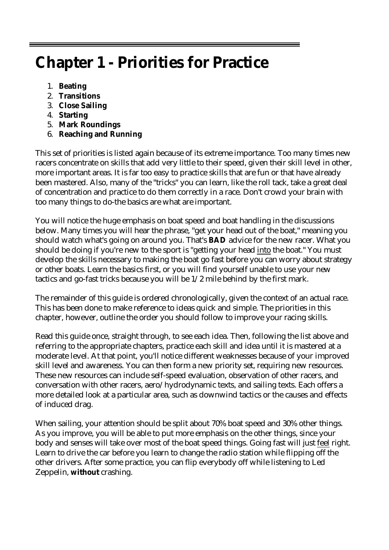# **Chapter 1 - Priorities for Practice**

- 1. **Beating**
- 2. **Transitions**
- 3. **Close Sailing**
- 4. **Starting**
- 5. **Mark Roundings**
- 6. **Reaching and Running**

This set of priorities is listed again because of its extreme importance. Too many times new racers concentrate on skills that add very little to their speed, given their skill level in other, more important areas. It is far too easy to practice skills that are fun or that have already been mastered. Also, many of the "tricks" you can learn, like the roll tack, take a great deal of concentration and practice to do them correctly in a race. Don't crowd your brain with too many things to do-the basics are what are important.

You will notice the huge emphasis on boat speed and boat handling in the discussions below. Many times you will hear the phrase, "get your head out of the boat," meaning you should watch what's going on around you. That's **BAD** advice for the new racer. What you should be doing if you're new to the sport is "getting your head into the boat." You must develop the skills necessary to making the boat go fast before you can worry about strategy or other boats. Learn the basics first, or you will find yourself unable to use your new tactics and go-fast tricks because you will be 1/2 mile behind by the first mark.

The remainder of this guide is ordered chronologically, given the context of an actual race. This has been done to make reference to ideas quick and simple. The priorities in this chapter, however, outline the order you should follow to improve your racing skills.

Read this guide once, straight through, to see each idea. Then, following the list above and referring to the appropriate chapters, practice each skill and idea until it is mastered at a moderate level. At that point, you'll notice different weaknesses because of your improved skill level and awareness. You can then form a new priority set, requiring new resources. These new resources can include self-speed evaluation, observation of other racers, and conversation with other racers, aero/hydrodynamic texts, and sailing texts. Each offers a more detailed look at a particular area, such as downwind tactics or the causes and effects of induced drag.

When sailing, your attention should be split about 70% boat speed and 30% other things. As you improve, you will be able to put more emphasis on the other things, since your body and senses will take over most of the boat speed things. Going fast will just feel right. Learn to drive the car before you learn to change the radio station while flipping off the other drivers. After some practice, you can flip everybody off while listening to Led Zeppelin, **without** crashing.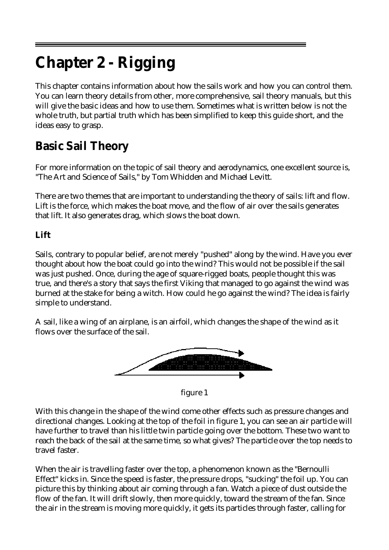# **Chapter 2 - Rigging**

This chapter contains information about how the sails work and how you can control them. You can learn theory details from other, more comprehensive, sail theory manuals, but this will give the basic ideas and how to use them. Sometimes what is written below is not the whole truth, but partial truth which has been simplified to keep this guide short, and the ideas easy to grasp.

# **Basic Sail Theory**

For more information on the topic of sail theory and aerodynamics, one excellent source is, "The Art and Science of Sails," by Tom Whidden and Michael Levitt.

There are two themes that are important to understanding the theory of sails: lift and flow. Lift is the force, which makes the boat move, and the flow of air over the sails generates that lift. It also generates drag, which slows the boat down.

### **Lift**

Sails, contrary to popular belief, are not merely "pushed" along by the wind. Have you ever thought about how the boat could go into the wind? This would not be possible if the sail was just pushed. Once, during the age of square-rigged boats, people thought this was true, and there's a story that says the first Viking that managed to go against the wind was burned at the stake for being a witch. How could he go against the wind? The idea is fairly simple to understand.

A sail, like a wing of an airplane, is an airfoil, which changes the shape of the wind as it flows over the surface of the sail.



figure 1

With this change in the shape of the wind come other effects such as pressure changes and directional changes. Looking at the top of the foil in figure 1, you can see an air particle will have further to travel than his little twin particle going over the bottom. These two want to reach the back of the sail at the same time, so what gives? The particle over the top needs to travel faster.

When the air is travelling faster over the top, a phenomenon known as the "Bernoulli Effect" kicks in. Since the speed is faster, the pressure drops, "sucking" the foil up. You can picture this by thinking about air coming through a fan. Watch a piece of dust outside the flow of the fan. It will drift slowly, then more quickly, toward the stream of the fan. Since the air in the stream is moving more quickly, it gets its particles through faster, calling for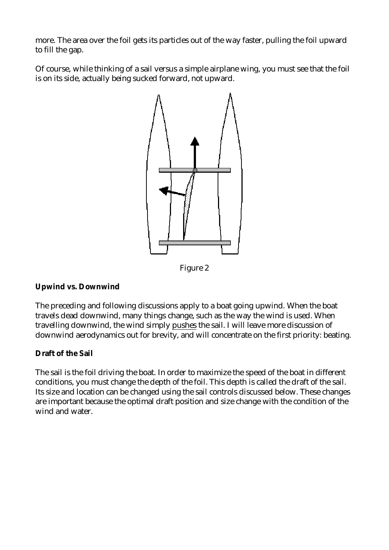more. The area over the foil gets its particles out of the way faster, pulling the foil upward to fill the gap.

Of course, while thinking of a sail versus a simple airplane wing, you must see that the foil is on its side, actually being sucked forward, not upward.



Figure 2

#### **Upwind vs. Downwind**

The preceding and following discussions apply to a boat going upwind. When the boat travels dead downwind, many things change, such as the way the wind is used. When travelling downwind, the wind simply pushes the sail. I will leave more discussion of downwind aerodynamics out for brevity, and will concentrate on the first priority: beating.

#### **Draft of the Sail**

The sail is the foil driving the boat. In order to maximize the speed of the boat in different conditions, you must change the depth of the foil. This depth is called the draft of the sail. Its size and location can be changed using the sail controls discussed below. These changes are important because the optimal draft position and size change with the condition of the wind and water.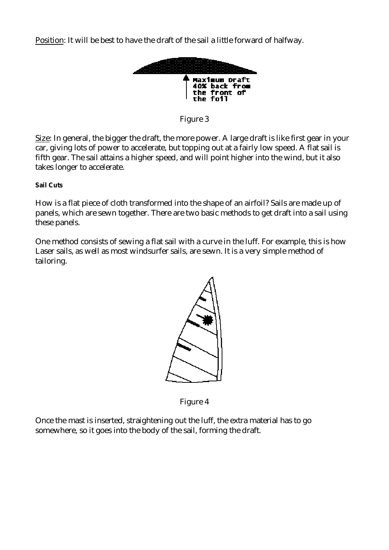Position: It will be best to have the draft of the sail a little forward of halfway.



Figure 3

Size: In general, the bigger the draft, the more power. A large draft is like first gear in your car, giving lots of power to accelerate, but topping out at a fairly low speed. A flat sail is fifth gear. The sail attains a higher speed, and will point higher into the wind, but it also takes longer to accelerate.

**Sail Cuts** 

How is a flat piece of cloth transformed into the shape of an airfoil? Sails are made up of panels, which are sewn together. There are two basic methods to get draft into a sail using these panels.

One method consists of sewing a flat sail with a curve in the luff. For example, this is how Laser sails, as well as most windsurfer sails, are sewn. It is a very simple method of tailoring.



Figure 4

Once the mast is inserted, straightening out the luff, the extra material has to go somewhere, so it goes into the body of the sail, forming the draft.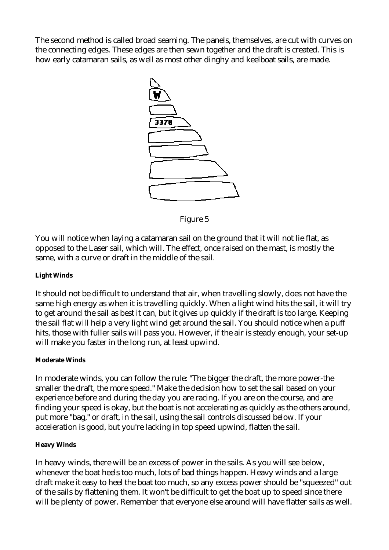The second method is called broad seaming. The panels, themselves, are cut with curves on the connecting edges. These edges are then sewn together and the draft is created. This is how early catamaran sails, as well as most other dinghy and keelboat sails, are made.



Figure 5

You will notice when laying a catamaran sail on the ground that it will not lie flat, as opposed to the Laser sail, which will. The effect, once raised on the mast, is mostly the same, with a curve or draft in the middle of the sail.

#### **Light Winds**

It should not be difficult to understand that air, when travelling slowly, does not have the same high energy as when it is travelling quickly. When a light wind hits the sail, it will try to get around the sail as best it can, but it gives up quickly if the draft is too large. Keeping the sail flat will help a very light wind get around the sail. You should notice when a puff hits, those with fuller sails will pass you. However, if the air is steady enough, your set-up will make you faster in the long run, at least upwind.

#### **Moderate Winds**

In moderate winds, you can follow the rule: "The bigger the draft, the more power-the smaller the draft, the more speed." Make the decision how to set the sail based on your experience before and during the day you are racing. If you are on the course, and are finding your speed is okay, but the boat is not accelerating as quickly as the others around, put more "bag," or draft, in the sail, using the sail controls discussed below. If your acceleration is good, but you're lacking in top speed upwind, flatten the sail.

#### **Heavy Winds**

In heavy winds, there will be an excess of power in the sails. As you will see below, whenever the boat heels too much, lots of bad things happen. Heavy winds and a large draft make it easy to heel the boat too much, so any excess power should be "squeezed" out of the sails by flattening them. It won't be difficult to get the boat up to speed since there will be plenty of power. Remember that everyone else around will have flatter sails as well.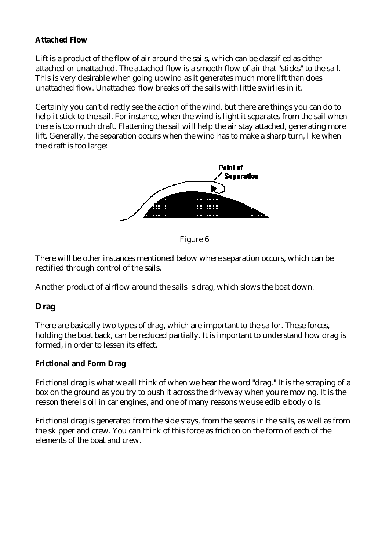#### **Attached Flow**

Lift is a product of the flow of air around the sails, which can be classified as either attached or unattached. The attached flow is a smooth flow of air that "sticks" to the sail. This is very desirable when going upwind as it generates much more lift than does unattached flow. Unattached flow breaks off the sails with little swirlies in it.

Certainly you can't directly see the action of the wind, but there are things you can do to help it stick to the sail. For instance, when the wind is light it separates from the sail when there is too much draft. Flattening the sail will help the air stay attached, generating more lift. Generally, the separation occurs when the wind has to make a sharp turn, like when the draft is too large:



Figure 6

There will be other instances mentioned below where separation occurs, which can be rectified through control of the sails.

Another product of airflow around the sails is drag, which slows the boat down.

#### **Drag**

There are basically two types of drag, which are important to the sailor. These forces, holding the boat back, can be reduced partially. It is important to understand how drag is formed, in order to lessen its effect.

#### **Frictional and Form Drag**

Frictional drag is what we all think of when we hear the word "drag." It is the scraping of a box on the ground as you try to push it across the driveway when you're moving. It is the reason there is oil in car engines, and one of many reasons we use edible body oils.

Frictional drag is generated from the side stays, from the seams in the sails, as well as from the skipper and crew. You can think of this force as friction on the form of each of the elements of the boat and crew.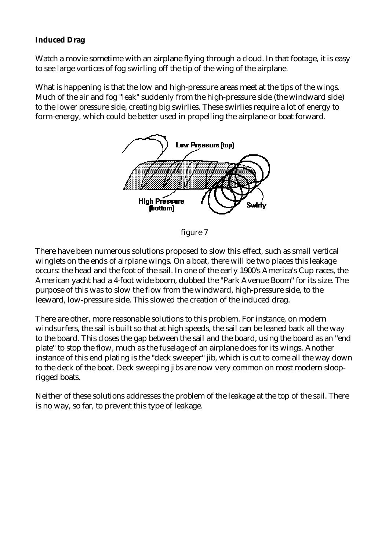#### **Induced Drag**

Watch a movie sometime with an airplane flying through a cloud. In that footage, it is easy to see large vortices of fog swirling off the tip of the wing of the airplane.

What is happening is that the low and high-pressure areas meet at the tips of the wings. Much of the air and fog "leak" suddenly from the high-pressure side (the windward side) to the lower pressure side, creating big swirlies. These swirlies require a lot of energy to form-energy, which could be better used in propelling the airplane or boat forward.



figure 7

There have been numerous solutions proposed to slow this effect, such as small vertical winglets on the ends of airplane wings. On a boat, there will be two places this leakage occurs: the head and the foot of the sail. In one of the early 1900's America's Cup races, the American yacht had a 4-foot wide boom, dubbed the "Park Avenue Boom" for its size. The purpose of this was to slow the flow from the windward, high-pressure side, to the leeward, low-pressure side. This slowed the creation of the induced drag.

There are other, more reasonable solutions to this problem. For instance, on modern windsurfers, the sail is built so that at high speeds, the sail can be leaned back all the way to the board. This closes the gap between the sail and the board, using the board as an "end plate" to stop the flow, much as the fuselage of an airplane does for its wings. Another instance of this end plating is the "deck sweeper" jib, which is cut to come all the way down to the deck of the boat. Deck sweeping jibs are now very common on most modern slooprigged boats.

Neither of these solutions addresses the problem of the leakage at the top of the sail. There is no way, so far, to prevent this type of leakage.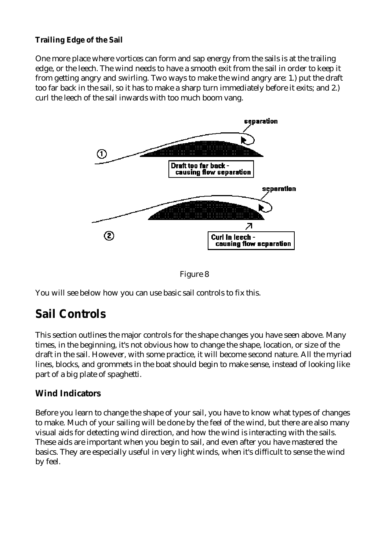#### **Trailing Edge of the Sail**

One more place where vortices can form and sap energy from the sails is at the trailing edge, or the leech. The wind needs to have a smooth exit from the sail in order to keep it from getting angry and swirling. Two ways to make the wind angry are: 1.) put the draft too far back in the sail, so it has to make a sharp turn immediately before it exits; and 2.) curl the leech of the sail inwards with too much boom vang.





You will see below how you can use basic sail controls to fix this.

## **Sail Controls**

This section outlines the major controls for the shape changes you have seen above. Many times, in the beginning, it's not obvious how to change the shape, location, or size of the draft in the sail. However, with some practice, it will become second nature. All the myriad lines, blocks, and grommets in the boat should begin to make sense, instead of looking like part of a big plate of spaghetti.

#### **Wind Indicators**

Before you learn to change the shape of your sail, you have to know what types of changes to make. Much of your sailing will be done by the feel of the wind, but there are also many visual aids for detecting wind direction, and how the wind is interacting with the sails. These aids are important when you begin to sail, and even after you have mastered the basics. They are especially useful in very light winds, when it's difficult to sense the wind by feel.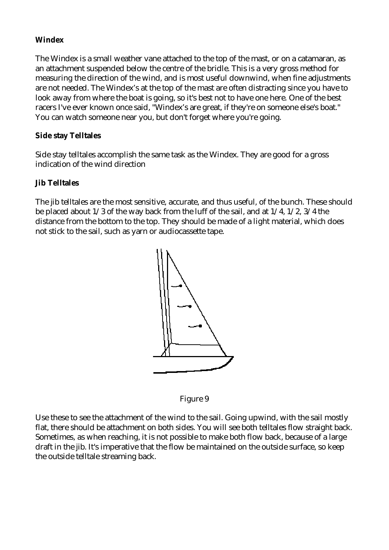#### **Windex**

The Windex is a small weather vane attached to the top of the mast, or on a catamaran, as an attachment suspended below the centre of the bridle. This is a very gross method for measuring the direction of the wind, and is most useful downwind, when fine adjustments are not needed. The Windex's at the top of the mast are often distracting since you have to look away from where the boat is going, so it's best not to have one here. One of the best racers I've ever known once said, "Windex's are great, if they're on someone else's boat." You can watch someone near you, but don't forget where you're going.

#### **Side stay Telltales**

Side stay telltales accomplish the same task as the Windex. They are good for a gross indication of the wind direction

#### **Jib Telltales**

The jib telltales are the most sensitive, accurate, and thus useful, of the bunch. These should be placed about 1/3 of the way back from the luff of the sail, and at 1/4, 1/2, 3/4 the distance from the bottom to the top. They should be made of a light material, which does not stick to the sail, such as yarn or audiocassette tape.



Figure 9

Use these to see the attachment of the wind to the sail. Going upwind, with the sail mostly flat, there should be attachment on both sides. You will see both telltales flow straight back. Sometimes, as when reaching, it is not possible to make both flow back, because of a large draft in the jib. It's imperative that the flow be maintained on the outside surface, so keep the outside telltale streaming back.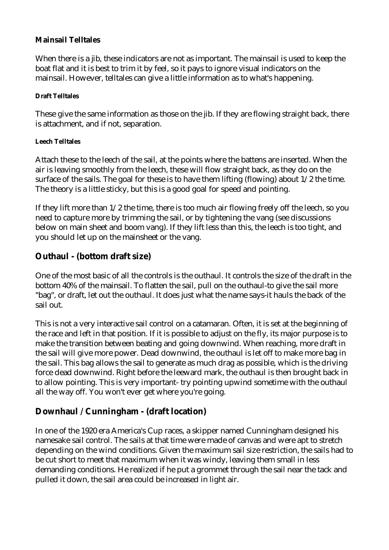#### **Mainsail Telltales**

When there is a jib, these indicators are not as important. The mainsail is used to keep the boat flat and it is best to trim it by feel, so it pays to ignore visual indicators on the mainsail. However, telltales can give a little information as to what's happening.

#### **Draft Telltales**

These give the same information as those on the jib. If they are flowing straight back, there is attachment, and if not, separation.

#### **Leech Telltales**

Attach these to the leech of the sail, at the points where the battens are inserted. When the air is leaving smoothly from the leech, these will flow straight back, as they do on the surface of the sails. The goal for these is to have them lifting (flowing) about  $1/2$  the time. The theory is a little sticky, but this is a good goal for speed and pointing.

If they lift more than 1/2 the time, there is too much air flowing freely off the leech, so you need to capture more by trimming the sail, or by tightening the vang (see discussions below on main sheet and boom vang). If they lift less than this, the leech is too tight, and you should let up on the mainsheet or the vang.

#### **Outhaul - (bottom draft size)**

One of the most basic of all the controls is the outhaul. It controls the size of the draft in the bottom 40% of the mainsail. To flatten the sail, pull on the outhaul-to give the sail more "bag", or draft, let out the outhaul. It does just what the name says-it hauls the back of the sail out.

This is not a very interactive sail control on a catamaran. Often, it is set at the beginning of the race and left in that position. If it is possible to adjust on the fly, its major purpose is to make the transition between beating and going downwind. When reaching, more draft in the sail will give more power. Dead downwind, the outhaul is let off to make more bag in the sail. This bag allows the sail to generate as much drag as possible, which is the driving force dead downwind. Right before the leeward mark, the outhaul is then brought back in to allow pointing. This is very important- try pointing upwind sometime with the outhaul all the way off. You won't ever get where you're going.

#### **Downhaul / Cunningham - (draft location)**

In one of the 1920 era America's Cup races, a skipper named Cunningham designed his namesake sail control. The sails at that time were made of canvas and were apt to stretch depending on the wind conditions. Given the maximum sail size restriction, the sails had to be cut short to meet that maximum when it was windy, leaving them small in less demanding conditions. He realized if he put a grommet through the sail near the tack and pulled it down, the sail area could be increased in light air.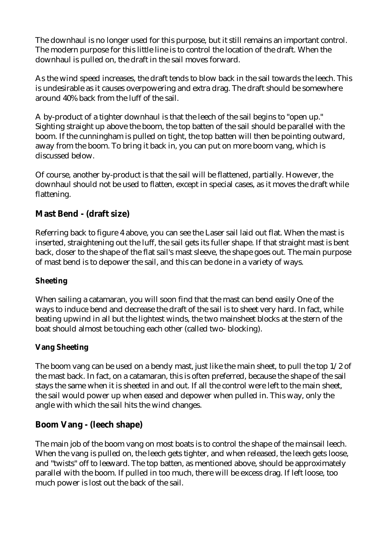The downhaul is no longer used for this purpose, but it still remains an important control. The modern purpose for this little line is to control the location of the draft. When the downhaul is pulled on, the draft in the sail moves forward.

As the wind speed increases, the draft tends to blow back in the sail towards the leech. This is undesirable as it causes overpowering and extra drag. The draft should be somewhere around 40% back from the luff of the sail.

A by-product of a tighter downhaul is that the leech of the sail begins to "open up." Sighting straight up above the boom, the top batten of the sail should be parallel with the boom. If the cunningham is pulled on tight, the top batten will then be pointing outward, away from the boom. To bring it back in, you can put on more boom vang, which is discussed below.

Of course, another by-product is that the sail will be flattened, partially. However, the downhaul should not be used to flatten, except in special cases, as it moves the draft while flattening.

### **Mast Bend - (draft size)**

Referring back to figure 4 above, you can see the Laser sail laid out flat. When the mast is inserted, straightening out the luff, the sail gets its fuller shape. If that straight mast is bent back, closer to the shape of the flat sail's mast sleeve, the shape goes out. The main purpose of mast bend is to depower the sail, and this can be done in a variety of ways.

#### **Sheeting**

When sailing a catamaran, you will soon find that the mast can bend easily One of the ways to induce bend and decrease the draft of the sail is to sheet very hard. In fact, while beating upwind in all but the lightest winds, the two mainsheet blocks at the stern of the boat should almost be touching each other (called two- blocking).

#### **Vang Sheeting**

The boom vang can be used on a bendy mast, just like the main sheet, to pull the top 1/2 of the mast back. In fact, on a catamaran, this is often preferred, because the shape of the sail stays the same when it is sheeted in and out. If all the control were left to the main sheet, the sail would power up when eased and depower when pulled in. This way, only the angle with which the sail hits the wind changes.

#### **Boom Vang - (leech shape)**

The main job of the boom vang on most boats is to control the shape of the mainsail leech. When the vang is pulled on, the leech gets tighter, and when released, the leech gets loose, and "twists" off to leeward. The top batten, as mentioned above, should be approximately parallel with the boom. If pulled in too much, there will be excess drag. If left loose, too much power is lost out the back of the sail.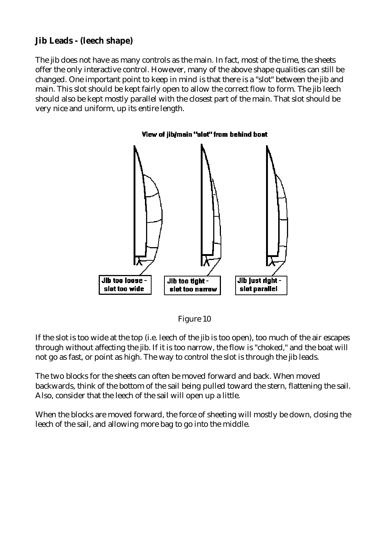#### **Jib Leads - (leech shape)**

The jib does not have as many controls as the main. In fact, most of the time, the sheets offer the only interactive control. However, many of the above shape qualities can still be changed. One important point to keep in mind is that there is a "slot" between the jib and main. This slot should be kept fairly open to allow the correct flow to form. The jib leech should also be kept mostly parallel with the closest part of the main. That slot should be very nice and uniform, up its entire length.





If the slot is too wide at the top (i.e. leech of the jib is too open), too much of the air escapes through without affecting the jib. If it is too narrow, the flow is "choked," and the boat will not go as fast, or point as high. The way to control the slot is through the jib leads.

The two blocks for the sheets can often be moved forward and back. When moved backwards, think of the bottom of the sail being pulled toward the stern, flattening the sail. Also, consider that the leech of the sail will open up a little.

When the blocks are moved forward, the force of sheeting will mostly be down, closing the leech of the sail, and allowing more bag to go into the middle.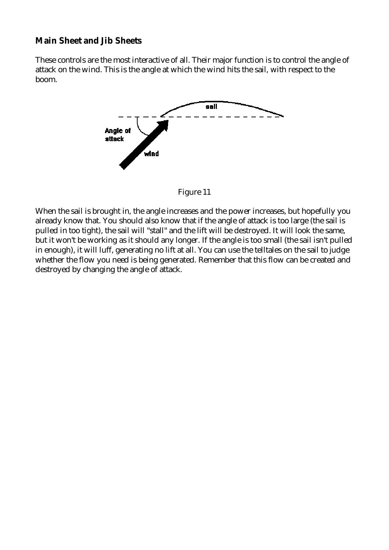#### **Main Sheet and Jib Sheets**

These controls are the most interactive of all. Their major function is to control the angle of attack on the wind. This is the angle at which the wind hits the sail, with respect to the boom.



Figure 11

When the sail is brought in, the angle increases and the power increases, but hopefully you already know that. You should also know that if the angle of attack is too large (the sail is pulled in too tight), the sail will "stall" and the lift will be destroyed. It will look the same, but it won't be working as it should any longer. If the angle is too small (the sail isn't pulled in enough), it will luff, generating no lift at all. You can use the telltales on the sail to judge whether the flow you need is being generated. Remember that this flow can be created and destroyed by changing the angle of attack.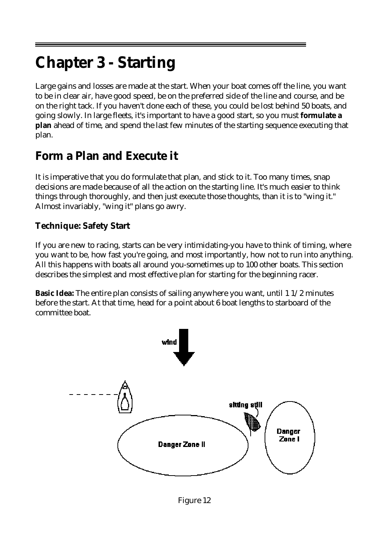# **Chapter 3 - Starting**

Large gains and losses are made at the start. When your boat comes off the line, you want to be in clear air, have good speed, be on the preferred side of the line and course, and be on the right tack. If you haven't done each of these, you could be lost behind 50 boats, and going slowly. In large fleets, it's important to have a good start, so you must **formulate a plan** ahead of time, and spend the last few minutes of the starting sequence executing that plan.

## **Form a Plan and Execute it**

It is imperative that you do formulate that plan, and stick to it. Too many times, snap decisions are made because of all the action on the starting line. It's much easier to think things through thoroughly, and then just execute those thoughts, than it is to "wing it." Almost invariably, "wing it" plans go awry.

### **Technique: Safety Start**

If you are new to racing, starts can be very intimidating-you have to think of timing, where you want to be, how fast you're going, and most importantly, how not to run into anything. All this happens with boats all around you-sometimes up to 100 other boats. This section describes the simplest and most effective plan for starting for the beginning racer.

**Basic Idea:** The entire plan consists of sailing anywhere you want, until 1 1/2 minutes before the start. At that time, head for a point about 6 boat lengths to starboard of the committee boat.

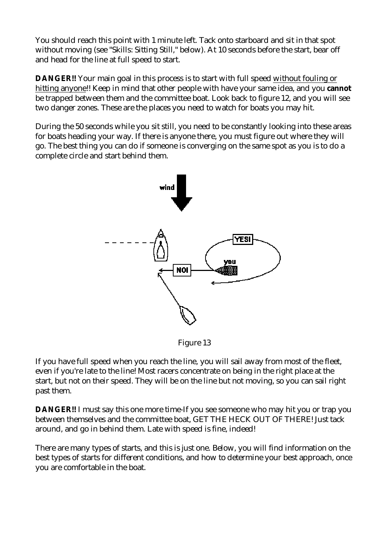You should reach this point with 1 minute left. Tack onto starboard and sit in that spot without moving (see "Skills: Sitting Still," below). At 10 seconds before the start, bear off and head for the line at full speed to start.

**DANGER!!** Your main goal in this process is to start with full speed without fouling or hitting anyone!! Keep in mind that other people with have your same idea, and you **cannot** be trapped between them and the committee boat. Look back to figure 12, and you will see two danger zones. These are the places you need to watch for boats you may hit.

During the 50 seconds while you sit still, you need to be constantly looking into these areas for boats heading your way. If there is anyone there, you must figure out where they will go. The best thing you can do if someone is converging on the same spot as you is to do a complete circle and start behind them.



Figure 13

If you have full speed when you reach the line, you will sail away from most of the fleet, even if you're late to the line! Most racers concentrate on being in the right place at the start, but not on their speed. They will be on the line but not moving, so you can sail right past them.

**DANGER!!** I must say this one more time-If you see someone who may hit you or trap you between themselves and the committee boat, GET THE HECK OUT OF THERE! Just tack around, and go in behind them. Late with speed is fine, indeed!

There are many types of starts, and this is just one. Below, you will find information on the best types of starts for different conditions, and how to determine your best approach, once you are comfortable in the boat.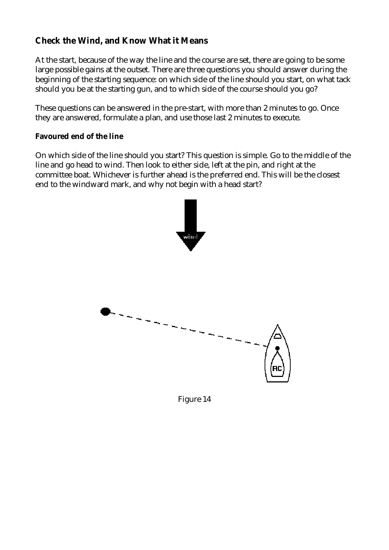### **Check the Wind, and Know What it Means**

At the start, because of the way the line and the course are set, there are going to be some large possible gains at the outset. There are three questions you should answer during the beginning of the starting sequence: on which side of the line should you start, on what tack should you be at the starting gun, and to which side of the course should you go?

These questions can be answered in the pre-start, with more than 2 minutes to go. Once they are answered, formulate a plan, and use those last 2 minutes to execute.

**Favoured end of the line** 

On which side of the line should you start? This question is simple. Go to the middle of the line and go head to wind. Then look to either side, left at the pin, and right at the committee boat. Whichever is further ahead is the preferred end. This will be the closest end to the windward mark, and why not begin with a head start?



Figure 14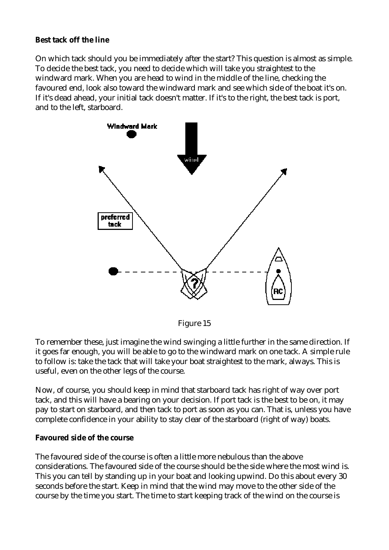#### **Best tack off the line**

On which tack should you be immediately after the start? This question is almost as simple. To decide the best tack, you need to decide which will take you straightest to the windward mark. When you are head to wind in the middle of the line, checking the favoured end, look also toward the windward mark and see which side of the boat it's on. If it's dead ahead, your initial tack doesn't matter. If it's to the right, the best tack is port, and to the left, starboard.



Figure 15

To remember these, just imagine the wind swinging a little further in the same direction. If it goes far enough, you will be able to go to the windward mark on one tack. A simple rule to follow is: take the tack that will take your boat straightest to the mark, always. This is useful, even on the other legs of the course.

Now, of course, you should keep in mind that starboard tack has right of way over port tack, and this will have a bearing on your decision. If port tack is the best to be on, it may pay to start on starboard, and then tack to port as soon as you can. That is, unless you have complete confidence in your ability to stay clear of the starboard (right of way) boats.

#### **Favoured side of the course**

The favoured side of the course is often a little more nebulous than the above considerations. The favoured side of the course should be the side where the most wind is. This you can tell by standing up in your boat and looking upwind. Do this about every 30 seconds before the start. Keep in mind that the wind may move to the other side of the course by the time you start. The time to start keeping track of the wind on the course is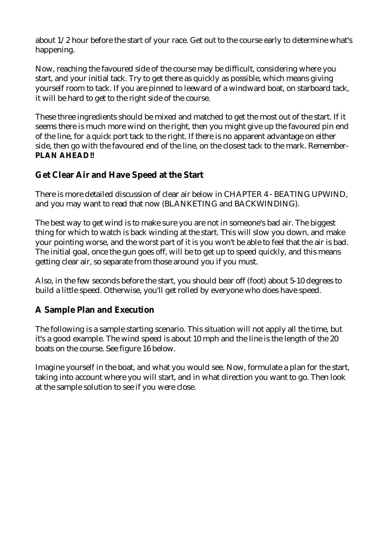about 1/2 hour before the start of your race. Get out to the course early to determine what's happening.

Now, reaching the favoured side of the course may be difficult, considering where you start, and your initial tack. Try to get there as quickly as possible, which means giving yourself room to tack. If you are pinned to leeward of a windward boat, on starboard tack, it will be hard to get to the right side of the course.

These three ingredients should be mixed and matched to get the most out of the start. If it seems there is much more wind on the right, then you might give up the favoured pin end of the line, for a quick port tack to the right. If there is no apparent advantage on either side, then go with the favoured end of the line, on the closest tack to the mark. Remember-**PLAN AHEAD!!**

#### **Get Clear Air and Have Speed at the Start**

There is more detailed discussion of clear air below in CHAPTER 4 - BEATING UPWIND, and you may want to read that now (BLANKETING and BACKWINDING).

The best way to get wind is to make sure you are not in someone's bad air. The biggest thing for which to watch is back winding at the start. This will slow you down, and make your pointing worse, and the worst part of it is you won't be able to feel that the air is bad. The initial goal, once the gun goes off, will be to get up to speed quickly, and this means getting clear air, so separate from those around you if you must.

Also, in the few seconds before the start, you should bear off (foot) about 5-10 degrees to build a little speed. Otherwise, you'll get rolled by everyone who does have speed.

#### **A Sample Plan and Execution**

The following is a sample starting scenario. This situation will not apply all the time, but it's a good example. The wind speed is about 10 mph and the line is the length of the 20 boats on the course. See figure 16 below.

Imagine yourself in the boat, and what you would see. Now, formulate a plan for the start, taking into account where you will start, and in what direction you want to go. Then look at the sample solution to see if you were close.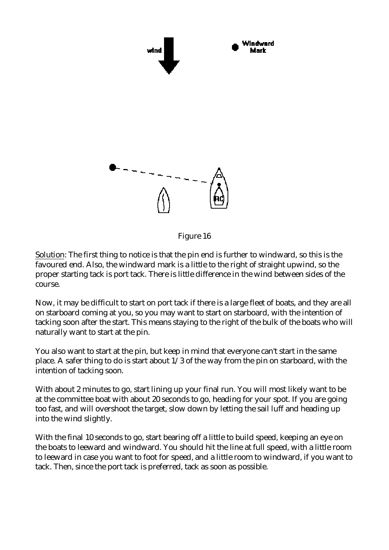

Figure 16

Solution: The first thing to notice is that the pin end is further to windward, so this is the favoured end. Also, the windward mark is a little to the right of straight upwind, so the proper starting tack is port tack. There is little difference in the wind between sides of the course.

Now, it may be difficult to start on port tack if there is a large fleet of boats, and they are all on starboard coming at you, so you may want to start on starboard, with the intention of tacking soon after the start. This means staying to the right of the bulk of the boats who will naturally want to start at the pin.

You also want to start at the pin, but keep in mind that everyone can't start in the same place. A safer thing to do is start about 1/3 of the way from the pin on starboard, with the intention of tacking soon.

With about 2 minutes to go, start lining up your final run. You will most likely want to be at the committee boat with about 20 seconds to go, heading for your spot. If you are going too fast, and will overshoot the target, slow down by letting the sail luff and heading up into the wind slightly.

With the final 10 seconds to go, start bearing off a little to build speed, keeping an eye on the boats to leeward and windward. You should hit the line at full speed, with a little room to leeward in case you want to foot for speed, and a little room to windward, if you want to tack. Then, since the port tack is preferred, tack as soon as possible.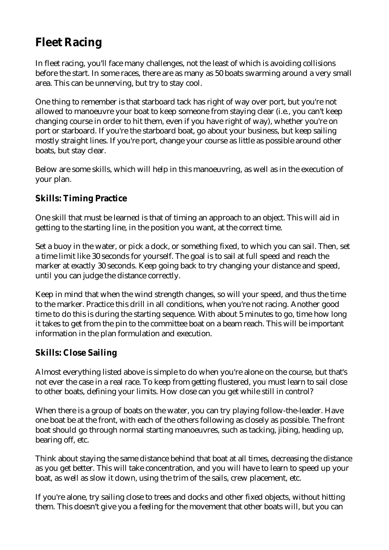# **Fleet Racing**

In fleet racing, you'll face many challenges, not the least of which is avoiding collisions before the start. In some races, there are as many as 50 boats swarming around a very small area. This can be unnerving, but try to stay cool.

One thing to remember is that starboard tack has right of way over port, but you're not allowed to manoeuvre your boat to keep someone from staying clear (i.e., you can't keep changing course in order to hit them, even if you have right of way), whether you're on port or starboard. If you're the starboard boat, go about your business, but keep sailing mostly straight lines. If you're port, change your course as little as possible around other boats, but stay clear.

Below are some skills, which will help in this manoeuvring, as well as in the execution of your plan.

### **Skills: Timing Practice**

One skill that must be learned is that of timing an approach to an object. This will aid in getting to the starting line, in the position you want, at the correct time.

Set a buoy in the water, or pick a dock, or something fixed, to which you can sail. Then, set a time limit like 30 seconds for yourself. The goal is to sail at full speed and reach the marker at exactly 30 seconds. Keep going back to try changing your distance and speed, until you can judge the distance correctly.

Keep in mind that when the wind strength changes, so will your speed, and thus the time to the marker. Practice this drill in all conditions, when you're not racing. Another good time to do this is during the starting sequence. With about 5 minutes to go, time how long it takes to get from the pin to the committee boat on a beam reach. This will be important information in the plan formulation and execution.

### **Skills: Close Sailing**

Almost everything listed above is simple to do when you're alone on the course, but that's not ever the case in a real race. To keep from getting flustered, you must learn to sail close to other boats, defining your limits. How close can you get while still in control?

When there is a group of boats on the water, you can try playing follow-the-leader. Have one boat be at the front, with each of the others following as closely as possible. The front boat should go through normal starting manoeuvres, such as tacking, jibing, heading up, bearing off, etc.

Think about staying the same distance behind that boat at all times, decreasing the distance as you get better. This will take concentration, and you will have to learn to speed up your boat, as well as slow it down, using the trim of the sails, crew placement, etc.

If you're alone, try sailing close to trees and docks and other fixed objects, without hitting them. This doesn't give you a feeling for the movement that other boats will, but you can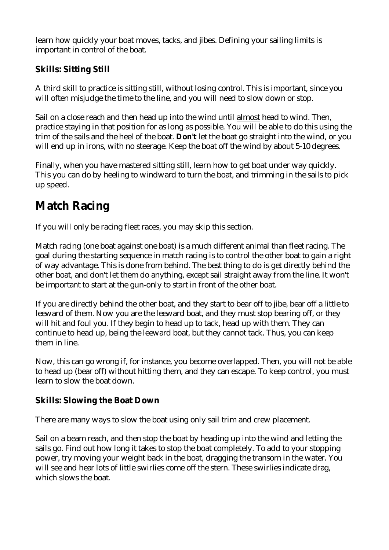learn how quickly your boat moves, tacks, and jibes. Defining your sailing limits is important in control of the boat.

### **Skills: Sitting Still**

A third skill to practice is sitting still, without losing control. This is important, since you will often misjudge the time to the line, and you will need to slow down or stop.

Sail on a close reach and then head up into the wind until almost head to wind. Then, practice staying in that position for as long as possible. You will be able to do this using the trim of the sails and the heel of the boat. **Don't** let the boat go straight into the wind, or you will end up in irons, with no steerage. Keep the boat off the wind by about 5-10 degrees.

Finally, when you have mastered sitting still, learn how to get boat under way quickly. This you can do by heeling to windward to turn the boat, and trimming in the sails to pick up speed.

# **Match Racing**

If you will only be racing fleet races, you may skip this section.

Match racing (one boat against one boat) is a much different animal than fleet racing. The goal during the starting sequence in match racing is to control the other boat to gain a right of way advantage. This is done from behind. The best thing to do is get directly behind the other boat, and don't let them do anything, except sail straight away from the line. It won't be important to start at the gun-only to start in front of the other boat.

If you are directly behind the other boat, and they start to bear off to jibe, bear off a little to leeward of them. Now you are the leeward boat, and they must stop bearing off, or they will hit and foul you. If they begin to head up to tack, head up with them. They can continue to head up, being the leeward boat, but they cannot tack. Thus, you can keep them in line.

Now, this can go wrong if, for instance, you become overlapped. Then, you will not be able to head up (bear off) without hitting them, and they can escape. To keep control, you must learn to slow the boat down.

### **Skills: Slowing the Boat Down**

There are many ways to slow the boat using only sail trim and crew placement.

Sail on a beam reach, and then stop the boat by heading up into the wind and letting the sails go. Find out how long it takes to stop the boat completely. To add to your stopping power, try moving your weight back in the boat, dragging the transom in the water. You will see and hear lots of little swirlies come off the stern. These swirlies indicate drag, which slows the boat.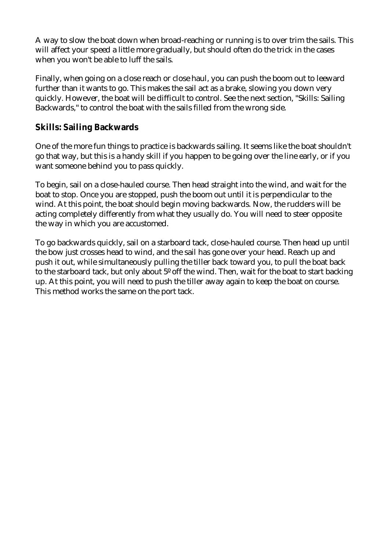A way to slow the boat down when broad-reaching or running is to over trim the sails. This will affect your speed a little more gradually, but should often do the trick in the cases when you won't be able to luff the sails.

Finally, when going on a close reach or close haul, you can push the boom out to leeward further than it wants to go. This makes the sail act as a brake, slowing you down very quickly. However, the boat will be difficult to control. See the next section, "Skills: Sailing Backwards," to control the boat with the sails filled from the wrong side.

#### **Skills: Sailing Backwards**

One of the more fun things to practice is backwards sailing. It seems like the boat shouldn't go that way, but this is a handy skill if you happen to be going over the line early, or if you want someone behind you to pass quickly.

To begin, sail on a close-hauled course. Then head straight into the wind, and wait for the boat to stop. Once you are stopped, push the boom out until it is perpendicular to the wind. At this point, the boat should begin moving backwards. Now, the rudders will be acting completely differently from what they usually do. You will need to steer opposite the way in which you are accustomed.

To go backwards quickly, sail on a starboard tack, close-hauled course. Then head up until the bow just crosses head to wind, and the sail has gone over your head. Reach up and push it out, while simultaneously pulling the tiller back toward you, to pull the boat back to the starboard tack, but only about 5º off the wind. Then, wait for the boat to start backing up. At this point, you will need to push the tiller away again to keep the boat on course. This method works the same on the port tack.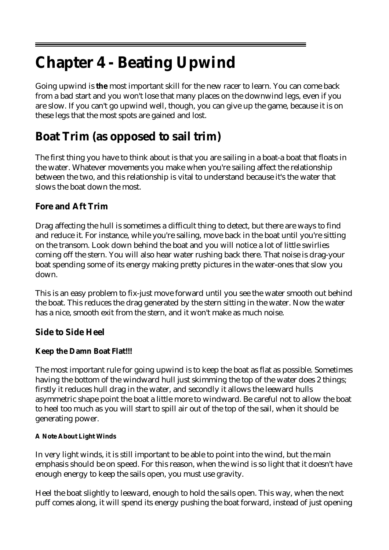# **Chapter 4 - Beating Upwind**

Going upwind is **the** most important skill for the new racer to learn. You can come back from a bad start and you won't lose that many places on the downwind legs, even if you are slow. If you can't go upwind well, though, you can give up the game, because it is on these legs that the most spots are gained and lost.

# **Boat Trim (as opposed to sail trim)**

The first thing you have to think about is that you are sailing in a boat-a boat that floats in the water. Whatever movements you make when you're sailing affect the relationship between the two, and this relationship is vital to understand because it's the water that slows the boat down the most.

### **Fore and Aft Trim**

Drag affecting the hull is sometimes a difficult thing to detect, but there are ways to find and reduce it. For instance, while you're sailing, move back in the boat until you're sitting on the transom. Look down behind the boat and you will notice a lot of little swirlies coming off the stern. You will also hear water rushing back there. That noise is drag-your boat spending some of its energy making pretty pictures in the water-ones that slow you down.

This is an easy problem to fix-just move forward until you see the water smooth out behind the boat. This reduces the drag generated by the stern sitting in the water. Now the water has a nice, smooth exit from the stern, and it won't make as much noise.

**Side to Side Heel** 

#### **Keep the Damn Boat Flat!!!**

The most important rule for going upwind is to keep the boat as flat as possible. Sometimes having the bottom of the windward hull just skimming the top of the water does 2 things; firstly it reduces hull drag in the water, and secondly it allows the leeward hulls asymmetric shape point the boat a little more to windward. Be careful not to allow the boat to heel too much as you will start to spill air out of the top of the sail, when it should be generating power.

#### **A Note About Light Winds**

In very light winds, it is still important to be able to point into the wind, but the main emphasis should be on speed. For this reason, when the wind is so light that it doesn't have enough energy to keep the sails open, you must use gravity.

Heel the boat slightly to leeward, enough to hold the sails open. This way, when the next puff comes along, it will spend its energy pushing the boat forward, instead of just opening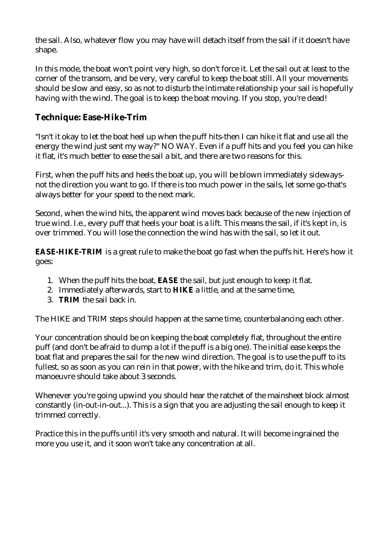the sail. Also, whatever flow you may have will detach itself from the sail if it doesn't have shape.

In this mode, the boat won't point very high, so don't force it. Let the sail out at least to the corner of the transom, and be very, very careful to keep the boat still. All your movements should be slow and easy, so as not to disturb the intimate relationship your sail is hopefully having with the wind. The goal is to keep the boat moving. If you stop, you're dead!

#### **Technique: Ease-Hike-Trim**

"Isn't it okay to let the boat heel up when the puff hits-then I can hike it flat and use all the energy the wind just sent my way?" NO WAY. Even if a puff hits and you feel you can hike it flat, it's much better to ease the sail a bit, and there are two reasons for this.

First, when the puff hits and heels the boat up, you will be blown immediately sidewaysnot the direction you want to go. If there is too much power in the sails, let some go-that's always better for your speed to the next mark.

Second, when the wind hits, the apparent wind moves back because of the new injection of true wind. I.e., every puff that heels your boat is a lift. This means the sail, if it's kept in, is over trimmed. You will lose the connection the wind has with the sail, so let it out.

**EASE-HIKE-TRIM** is a great rule to make the boat go fast when the puffs hit. Here's how it goes:

- 1. When the puff hits the boat, **EASE** the sail, but just enough to keep it flat.
- 2. Immediately afterwards, start to **HIKE** a little, and at the same time,
- 3. **TRIM** the sail back in.

The HIKE and TRIM steps should happen at the same time, counterbalancing each other.

Your concentration should be on keeping the boat completely flat, throughout the entire puff (and don't be afraid to dump a lot if the puff is a big one). The initial ease keeps the boat flat and prepares the sail for the new wind direction. The goal is to use the puff to its fullest, so as soon as you can rein in that power, with the hike and trim, do it. This whole manoeuvre should take about 3 seconds.

Whenever you're going upwind you should hear the ratchet of the mainsheet block almost constantly (in-out-in-out...). This is a sign that you are adjusting the sail enough to keep it trimmed correctly.

Practice this in the puffs until it's very smooth and natural. It will become ingrained the more you use it, and it soon won't take any concentration at all.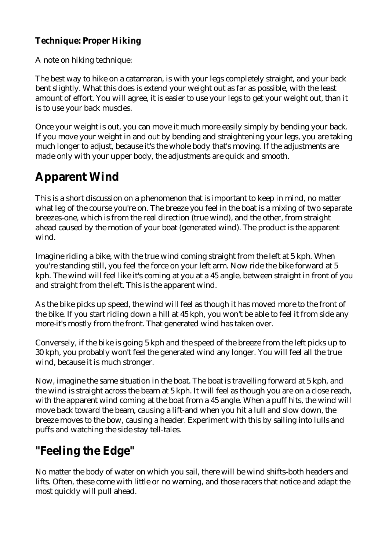### **Technique: Proper Hiking**

A note on hiking technique:

The best way to hike on a catamaran, is with your legs completely straight, and your back bent slightly. What this does is extend your weight out as far as possible, with the least amount of effort. You will agree, it is easier to use your legs to get your weight out, than it is to use your back muscles.

Once your weight is out, you can move it much more easily simply by bending your back. If you move your weight in and out by bending and straightening your legs, you are taking much longer to adjust, because it's the whole body that's moving. If the adjustments are made only with your upper body, the adjustments are quick and smooth.

## **Apparent Wind**

This is a short discussion on a phenomenon that is important to keep in mind, no matter what leg of the course you're on. The breeze you feel in the boat is a mixing of two separate breezes-one, which is from the real direction (true wind), and the other, from straight ahead caused by the motion of your boat (generated wind). The product is the apparent wind.

Imagine riding a bike, with the true wind coming straight from the left at 5 kph. When you're standing still, you feel the force on your left arm. Now ride the bike forward at 5 kph. The wind will feel like it's coming at you at a 45 angle, between straight in front of you and straight from the left. This is the apparent wind.

As the bike picks up speed, the wind will feel as though it has moved more to the front of the bike. If you start riding down a hill at 45 kph, you won't be able to feel it from side any more-it's mostly from the front. That generated wind has taken over.

Conversely, if the bike is going 5 kph and the speed of the breeze from the left picks up to 30 kph, you probably won't feel the generated wind any longer. You will feel all the true wind, because it is much stronger.

Now, imagine the same situation in the boat. The boat is travelling forward at 5 kph, and the wind is straight across the beam at 5 kph. It will feel as though you are on a close reach, with the apparent wind coming at the boat from a 45 angle. When a puff hits, the wind will move back toward the beam, causing a lift-and when you hit a lull and slow down, the breeze moves to the bow, causing a header. Experiment with this by sailing into lulls and puffs and watching the side stay tell-tales.

## **"Feeling the Edge"**

No matter the body of water on which you sail, there will be wind shifts-both headers and lifts. Often, these come with little or no warning, and those racers that notice and adapt the most quickly will pull ahead.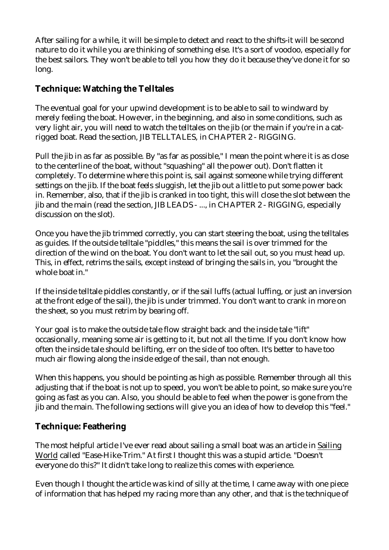After sailing for a while, it will be simple to detect and react to the shifts-it will be second nature to do it while you are thinking of something else. It's a sort of voodoo, especially for the best sailors. They won't be able to tell you how they do it because they've done it for so long.

#### **Technique: Watching the Telltales**

The eventual goal for your upwind development is to be able to sail to windward by merely feeling the boat. However, in the beginning, and also in some conditions, such as very light air, you will need to watch the telltales on the jib (or the main if you're in a catrigged boat. Read the section, JIB TELLTALES, in CHAPTER 2 - RIGGING.

Pull the jib in as far as possible. By "as far as possible," I mean the point where it is as close to the centerline of the boat, without "squashing" all the power out). Don't flatten it completely. To determine where this point is, sail against someone while trying different settings on the jib. If the boat feels sluggish, let the jib out a little to put some power back in. Remember, also, that if the jib is cranked in too tight, this will close the slot between the jib and the main (read the section, JIB LEADS - ..., in CHAPTER 2 - RIGGING, especially discussion on the slot).

Once you have the jib trimmed correctly, you can start steering the boat, using the telltales as guides. If the outside telltale "piddles," this means the sail is over trimmed for the direction of the wind on the boat. You don't want to let the sail out, so you must head up. This, in effect, retrims the sails, except instead of bringing the sails in, you "brought the whole boat in."

If the inside telltale piddles constantly, or if the sail luffs (actual luffing, or just an inversion at the front edge of the sail), the jib is under trimmed. You don't want to crank in more on the sheet, so you must retrim by bearing off.

Your goal is to make the outside tale flow straight back and the inside tale "lift" occasionally, meaning some air is getting to it, but not all the time. If you don't know how often the inside tale should be lifting, err on the side of too often. It's better to have too much air flowing along the inside edge of the sail, than not enough.

When this happens, you should be pointing as high as possible. Remember through all this adjusting that if the boat is not up to speed, you won't be able to point, so make sure you're going as fast as you can. Also, you should be able to feel when the power is gone from the jib and the main. The following sections will give you an idea of how to develop this "feel."

#### **Technique: Feathering**

The most helpful article I've ever read about sailing a small boat was an article in Sailing World called "Ease-Hike-Trim." At first I thought this was a stupid article. "Doesn't everyone do this?" It didn't take long to realize this comes with experience.

Even though I thought the article was kind of silly at the time, I came away with one piece of information that has helped my racing more than any other, and that is the technique of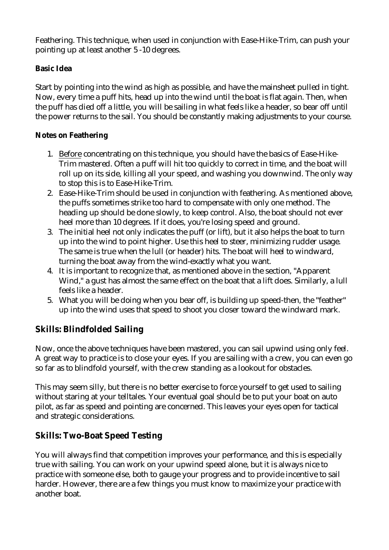Feathering. This technique, when used in conjunction with Ease-Hike-Trim, can push your pointing up at least another 5 -10 degrees.

#### **Basic Idea**

Start by pointing into the wind as high as possible, and have the mainsheet pulled in tight. Now, every time a puff hits, head up into the wind until the boat is flat again. Then, when the puff has died off a little, you will be sailing in what feels like a header, so bear off until the power returns to the sail. You should be constantly making adjustments to your course.

#### **Notes on Feathering**

- 1. Before concentrating on this technique, you should have the basics of Ease-Hike-Trim mastered. Often a puff will hit too quickly to correct in time, and the boat will roll up on its side, killing all your speed, and washing you downwind. The only way to stop this is to Ease-Hike-Trim.
- 2. Ease-Hike-Trim should be used in conjunction with feathering. As mentioned above, the puffs sometimes strike too hard to compensate with only one method. The heading up should be done slowly, to keep control. Also, the boat should not ever heel more than 10 degrees. If it does, you're losing speed and ground.
- 3. The initial heel not only indicates the puff (or lift), but it also helps the boat to turn up into the wind to point higher. Use this heel to steer, minimizing rudder usage. The same is true when the lull (or header) hits. The boat will heel to windward, turning the boat away from the wind-exactly what you want.
- 4. It is important to recognize that, as mentioned above in the section, "Apparent Wind," a gust has almost the same effect on the boat that a lift does. Similarly, a lull feels like a header.
- 5. What you will be doing when you bear off, is building up speed-then, the "feather" up into the wind uses that speed to shoot you closer toward the windward mark.

### **Skills: Blindfolded Sailing**

Now, once the above techniques have been mastered, you can sail upwind using only feel. A great way to practice is to close your eyes. If you are sailing with a crew, you can even go so far as to blindfold yourself, with the crew standing as a lookout for obstacles.

This may seem silly, but there is no better exercise to force yourself to get used to sailing without staring at your telltales. Your eventual goal should be to put your boat on auto pilot, as far as speed and pointing are concerned. This leaves your eyes open for tactical and strategic considerations.

### **Skills: Two-Boat Speed Testing**

You will always find that competition improves your performance, and this is especially true with sailing. You can work on your upwind speed alone, but it is always nice to practice with someone else, both to gauge your progress and to provide incentive to sail harder. However, there are a few things you must know to maximize your practice with another boat.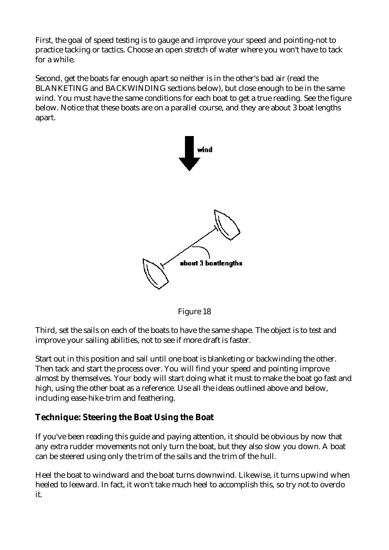First, the goal of speed testing is to gauge and improve your speed and pointing-not to practice tacking or tactics. Choose an open stretch of water where you won't have to tack for a while.

Second, get the boats far enough apart so neither is in the other's bad air (read the BLANKETING and BACKWINDING sections below), but close enough to be in the same wind. You must have the same conditions for each boat to get a true reading. See the figure below. Notice that these boats are on a parallel course, and they are about 3 boat lengths apart.



Figure 18

Third, set the sails on each of the boats to have the same shape. The object is to test and improve your sailing abilities, not to see if more draft is faster.

Start out in this position and sail until one boat is blanketing or backwinding the other. Then tack and start the process over. You will find your speed and pointing improve almost by themselves. Your body will start doing what it must to make the boat go fast and high, using the other boat as a reference. Use all the ideas outlined above and below, including ease-hike-trim and feathering.

#### **Technique: Steering the Boat Using the Boat**

If you've been reading this guide and paying attention, it should be obvious by now that any extra rudder movements not only turn the boat, but they also slow you down. A boat can be steered using only the trim of the sails and the trim of the hull.

Heel the boat to windward and the boat turns downwind. Likewise, it turns upwind when heeled to leeward. In fact, it won't take much heel to accomplish this, so try not to overdo it.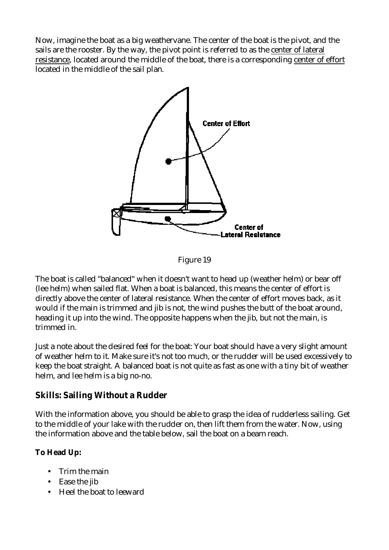Now, imagine the boat as a big weathervane. The center of the boat is the pivot, and the sails are the rooster. By the way, the pivot point is referred to as the center of lateral resistance, located around the middle of the boat, there is a corresponding center of effort located in the middle of the sail plan.



Figure 19

The boat is called "balanced" when it doesn't want to head up (weather helm) or bear off (lee helm) when sailed flat. When a boat is balanced, this means the center of effort is directly above the center of lateral resistance. When the center of effort moves back, as it would if the main is trimmed and jib is not, the wind pushes the butt of the boat around, heading it up into the wind. The opposite happens when the jib, but not the main, is trimmed in.

Just a note about the desired feel for the boat: Your boat should have a very slight amount of weather helm to it. Make sure it's not too much, or the rudder will be used excessively to keep the boat straight. A balanced boat is not quite as fast as one with a tiny bit of weather helm, and lee helm is a big no-no.

### **Skills: Sailing Without a Rudder**

With the information above, you should be able to grasp the idea of rudderless sailing. Get to the middle of your lake with the rudder on, then lift them from the water. Now, using the information above and the table below, sail the boat on a beam reach.

**To Head Up:**

- Trim the main
- Ease the jib
- Heel the boat to leeward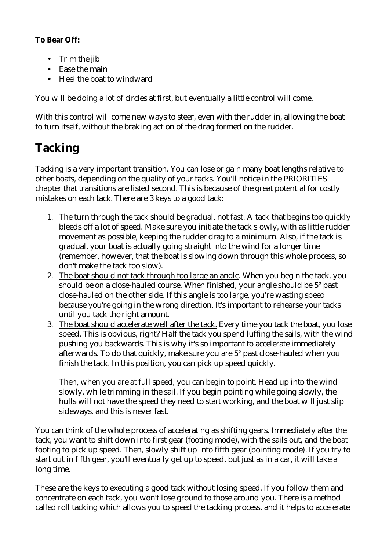**To Bear Off:**

- Trim the jib
- Ease the main
- Heel the boat to windward

You will be doing a lot of circles at first, but eventually a little control will come.

With this control will come new ways to steer, even with the rudder in, allowing the boat to turn itself, without the braking action of the drag formed on the rudder.

# **Tacking**

Tacking is a very important transition. You can lose or gain many boat lengths relative to other boats, depending on the quality of your tacks. You'll notice in the PRIORITIES chapter that transitions are listed second. This is because of the great potential for costly mistakes on each tack. There are 3 keys to a good tack:

- 1. The turn through the tack should be gradual, not fast. A tack that begins too quickly bleeds off a lot of speed. Make sure you initiate the tack slowly, with as little rudder movement as possible, keeping the rudder drag to a minimum. Also, if the tack is gradual, your boat is actually going straight into the wind for a longer time (remember, however, that the boat is slowing down through this whole process, so don't make the tack too slow).
- 2. The boat should not tack through too large an angle. When you begin the tack, you should be on a close-hauled course. When finished, your angle should be 5° past close-hauled on the other side. If this angle is too large, you're wasting speed because you're going in the wrong direction. It's important to rehearse your tacks until you tack the right amount.
- 3. The boat should accelerate well after the tack. Every time you tack the boat, you lose speed. This is obvious, right? Half the tack you spend luffing the sails, with the wind pushing you backwards. This is why it's so important to accelerate immediately afterwards. To do that quickly, make sure you are 5° past close-hauled when you finish the tack. In this position, you can pick up speed quickly.

Then, when you are at full speed, you can begin to point. Head up into the wind slowly, while trimming in the sail. If you begin pointing while going slowly, the hulls will not have the speed they need to start working, and the boat will just slip sideways, and this is never fast.

You can think of the whole process of accelerating as shifting gears. Immediately after the tack, you want to shift down into first gear (footing mode), with the sails out, and the boat footing to pick up speed. Then, slowly shift up into fifth gear (pointing mode). If you try to start out in fifth gear, you'll eventually get up to speed, but just as in a car, it will take a long time.

These are the keys to executing a good tack without losing speed. If you follow them and concentrate on each tack, you won't lose ground to those around you. There is a method called roll tacking which allows you to speed the tacking process, and it helps to accelerate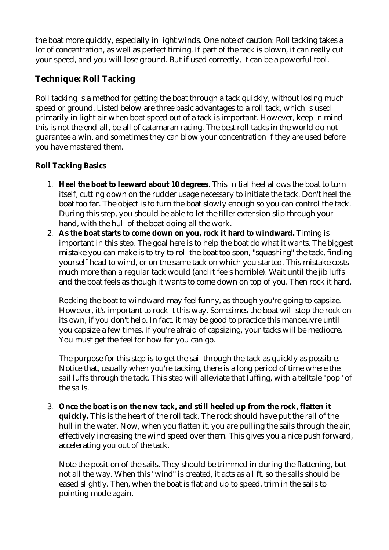the boat more quickly, especially in light winds. One note of caution: Roll tacking takes a lot of concentration, as well as perfect timing. If part of the tack is blown, it can really cut your speed, and you will lose ground. But if used correctly, it can be a powerful tool.

### **Technique: Roll Tacking**

Roll tacking is a method for getting the boat through a tack quickly, without losing much speed or ground. Listed below are three basic advantages to a roll tack, which is used primarily in light air when boat speed out of a tack is important. However, keep in mind this is not the end-all, be-all of catamaran racing. The best roll tacks in the world do not guarantee a win, and sometimes they can blow your concentration if they are used before you have mastered them.

**Roll Tacking Basics** 

- 1. **Heel the boat to leeward about 10 degrees.** This initial heel allows the boat to turn itself, cutting down on the rudder usage necessary to initiate the tack. Don't heel the boat too far. The object is to turn the boat slowly enough so you can control the tack. During this step, you should be able to let the tiller extension slip through your hand, with the hull of the boat doing all the work.
- 2. **As the boat starts to come down on you, rock it hard to windward.** Timing is important in this step. The goal here is to help the boat do what it wants. The biggest mistake you can make is to try to roll the boat too soon, "squashing" the tack, finding yourself head to wind, or on the same tack on which you started. This mistake costs much more than a regular tack would (and it feels horrible). Wait until the jib luffs and the boat feels as though it wants to come down on top of you. Then rock it hard.

Rocking the boat to windward may feel funny, as though you're going to capsize. However, it's important to rock it this way. Sometimes the boat will stop the rock on its own, if you don't help. In fact, it may be good to practice this manoeuvre until you capsize a few times. If you're afraid of capsizing, your tacks will be mediocre. You must get the feel for how far you can go.

The purpose for this step is to get the sail through the tack as quickly as possible. Notice that, usually when you're tacking, there is a long period of time where the sail luffs through the tack. This step will alleviate that luffing, with a telltale "pop" of the sails.

3. **Once the boat is on the new tack, and still heeled up from the rock, flatten it quickly.** This is the heart of the roll tack. The rock should have put the rail of the hull in the water. Now, when you flatten it, you are pulling the sails through the air, effectively increasing the wind speed over them. This gives you a nice push forward, accelerating you out of the tack.

Note the position of the sails. They should be trimmed in during the flattening, but not all the way. When this "wind" is created, it acts as a lift, so the sails should be eased slightly. Then, when the boat is flat and up to speed, trim in the sails to pointing mode again.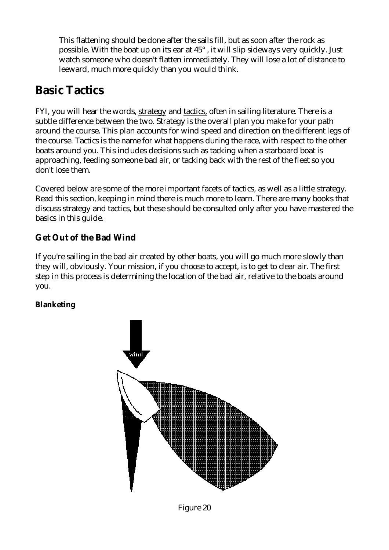This flattening should be done after the sails fill, but as soon after the rock as possible. With the boat up on its ear at 45° , it will slip sideways very quickly. Just watch someone who doesn't flatten immediately. They will lose a lot of distance to leeward, much more quickly than you would think.

## **Basic Tactics**

FYI, you will hear the words, strategy and tactics, often in sailing literature. There is a subtle difference between the two. Strategy is the overall plan you make for your path around the course. This plan accounts for wind speed and direction on the different legs of the course. Tactics is the name for what happens during the race, with respect to the other boats around you. This includes decisions such as tacking when a starboard boat is approaching, feeding someone bad air, or tacking back with the rest of the fleet so you don't lose them.

Covered below are some of the more important facets of tactics, as well as a little strategy. Read this section, keeping in mind there is much more to learn. There are many books that discuss strategy and tactics, but these should be consulted only after you have mastered the basics in this guide.

### **Get Out of the Bad Wind**

If you're sailing in the bad air created by other boats, you will go much more slowly than they will, obviously. Your mission, if you choose to accept, is to get to clear air. The first step in this process is determining the location of the bad air, relative to the boats around you.

### **Blanketing**



Figure 20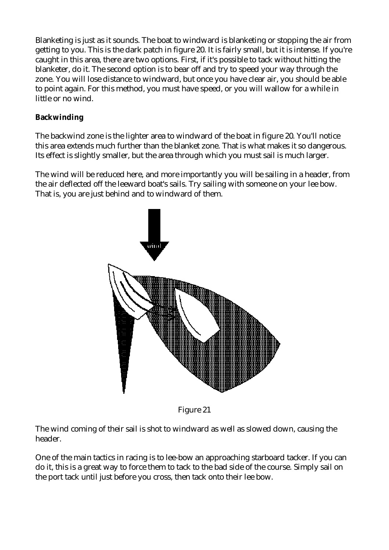Blanketing is just as it sounds. The boat to windward is blanketing or stopping the air from getting to you. This is the dark patch in figure 20. It is fairly small, but it is intense. If you're caught in this area, there are two options. First, if it's possible to tack without hitting the blanketer, do it. The second option is to bear off and try to speed your way through the zone. You will lose distance to windward, but once you have clear air, you should be able to point again. For this method, you must have speed, or you will wallow for a while in little or no wind.

#### **Backwinding**

The backwind zone is the lighter area to windward of the boat in figure 20. You'll notice this area extends much further than the blanket zone. That is what makes it so dangerous. Its effect is slightly smaller, but the area through which you must sail is much larger.

The wind will be reduced here, and more importantly you will be sailing in a header, from the air deflected off the leeward boat's sails. Try sailing with someone on your lee bow. That is, you are just behind and to windward of them.



Figure 21

The wind coming of their sail is shot to windward as well as slowed down, causing the header.

One of the main tactics in racing is to lee-bow an approaching starboard tacker. If you can do it, this is a great way to force them to tack to the bad side of the course. Simply sail on the port tack until just before you cross, then tack onto their lee bow.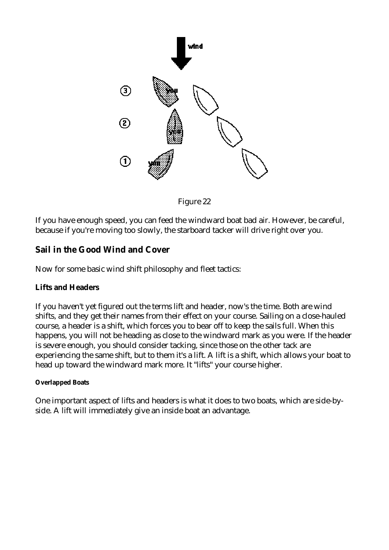

Figure 22

If you have enough speed, you can feed the windward boat bad air. However, be careful, because if you're moving too slowly, the starboard tacker will drive right over you.

#### **Sail in the Good Wind and Cover**

Now for some basic wind shift philosophy and fleet tactics:

#### **Lifts and Headers**

If you haven't yet figured out the terms lift and header, now's the time. Both are wind shifts, and they get their names from their effect on your course. Sailing on a close-hauled course, a header is a shift, which forces you to bear off to keep the sails full. When this happens, you will not be heading as close to the windward mark as you were. If the header is severe enough, you should consider tacking, since those on the other tack are experiencing the same shift, but to them it's a lift. A lift is a shift, which allows your boat to head up toward the windward mark more. It "lifts" your course higher.

#### **Overlapped Boats**

One important aspect of lifts and headers is what it does to two boats, which are side-byside. A lift will immediately give an inside boat an advantage.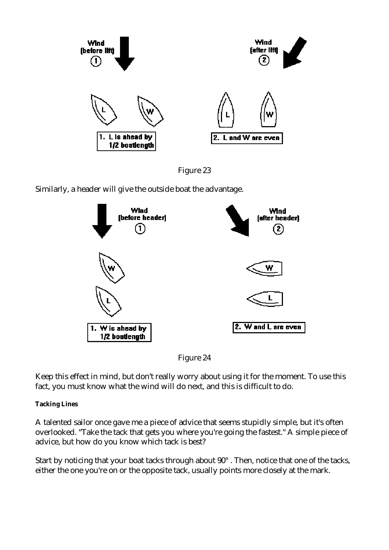

Figure 23

Similarly, a header will give the outside boat the advantage.



Figure 24

Keep this effect in mind, but don't really worry about using it for the moment. To use this fact, you must know what the wind will do next, and this is difficult to do.

**Tacking Lines** 

A talented sailor once gave me a piece of advice that seems stupidly simple, but it's often overlooked. "Take the tack that gets you where you're going the fastest." A simple piece of advice, but how do you know which tack is best?

Start by noticing that your boat tacks through about 90° . Then, notice that one of the tacks, either the one you're on or the opposite tack, usually points more closely at the mark.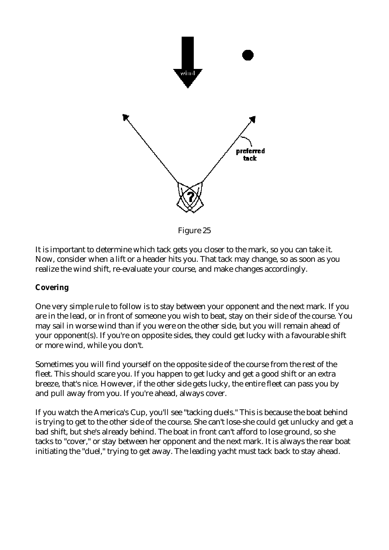

Figure 25

It is important to determine which tack gets you closer to the mark, so you can take it. Now, consider when a lift or a header hits you. That tack may change, so as soon as you realize the wind shift, re-evaluate your course, and make changes accordingly.

#### **Covering**

One very simple rule to follow is to stay between your opponent and the next mark. If you are in the lead, or in front of someone you wish to beat, stay on their side of the course. You may sail in worse wind than if you were on the other side, but you will remain ahead of your opponent(s). If you're on opposite sides, they could get lucky with a favourable shift or more wind, while you don't.

Sometimes you will find yourself on the opposite side of the course from the rest of the fleet. This should scare you. If you happen to get lucky and get a good shift or an extra breeze, that's nice. However, if the other side gets lucky, the entire fleet can pass you by and pull away from you. If you're ahead, always cover.

If you watch the America's Cup, you'll see "tacking duels." This is because the boat behind is trying to get to the other side of the course. She can't lose-she could get unlucky and get a bad shift, but she's already behind. The boat in front can't afford to lose ground, so she tacks to "cover," or stay between her opponent and the next mark. It is always the rear boat initiating the "duel," trying to get away. The leading yacht must tack back to stay ahead.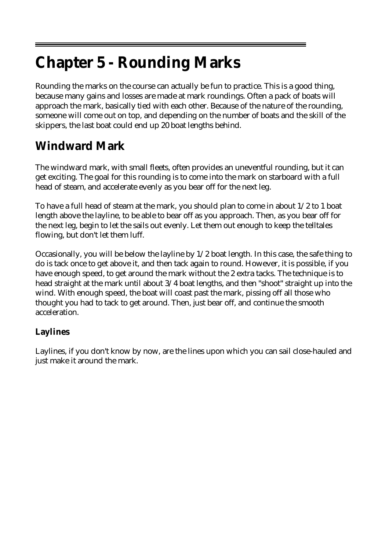# **Chapter 5 - Rounding Marks**

Rounding the marks on the course can actually be fun to practice. This is a good thing, because many gains and losses are made at mark roundings. Often a pack of boats will approach the mark, basically tied with each other. Because of the nature of the rounding, someone will come out on top, and depending on the number of boats and the skill of the skippers, the last boat could end up 20 boat lengths behind.

# **Windward Mark**

The windward mark, with small fleets, often provides an uneventful rounding, but it can get exciting. The goal for this rounding is to come into the mark on starboard with a full head of steam, and accelerate evenly as you bear off for the next leg.

To have a full head of steam at the mark, you should plan to come in about 1/2 to 1 boat length above the layline, to be able to bear off as you approach. Then, as you bear off for the next leg, begin to let the sails out evenly. Let them out enough to keep the telltales flowing, but don't let them luff.

Occasionally, you will be below the layline by 1/2 boat length. In this case, the safe thing to do is tack once to get above it, and then tack again to round. However, it is possible, if you have enough speed, to get around the mark without the 2 extra tacks. The technique is to head straight at the mark until about 3/4 boat lengths, and then "shoot" straight up into the wind. With enough speed, the boat will coast past the mark, pissing off all those who thought you had to tack to get around. Then, just bear off, and continue the smooth acceleration.

### **Laylines**

Laylines, if you don't know by now, are the lines upon which you can sail close-hauled and just make it around the mark.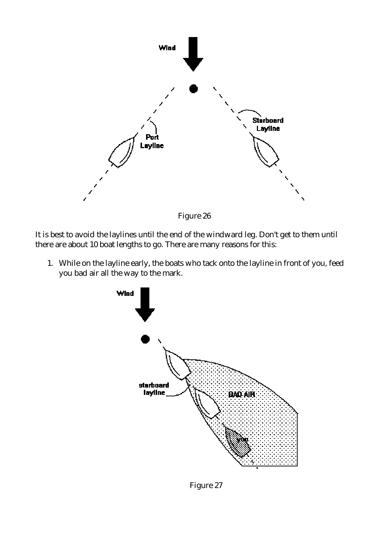

Figure 26

It is best to avoid the laylines until the end of the windward leg. Don't get to them until there are about 10 boat lengths to go. There are many reasons for this:

1. While on the layline early, the boats who tack onto the layline in front of you, feed you bad air all the way to the mark.



Figure 27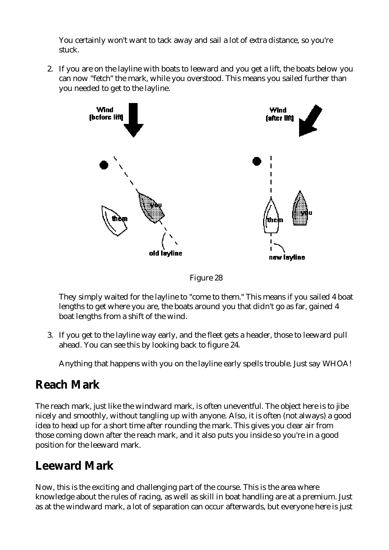You certainly won't want to tack away and sail a lot of extra distance, so you're stuck.

2. If you are on the layline with boats to leeward and you get a lift, the boats below you can now "fetch" the mark, while you overstood. This means you sailed further than you needed to get to the layline.



Figure 28

They simply waited for the layline to "come to them." This means if you sailed 4 boat lengths to get where you are, the boats around you that didn't go as far, gained 4 boat lengths from a shift of the wind.

3. If you get to the layline way early, and the fleet gets a header, those to leeward pull ahead. You can see this by looking back to figure 24.

Anything that happens with you on the layline early spells trouble. Just say WHOA!

## **Reach Mark**

The reach mark, just like the windward mark, is often uneventful. The object here is to jibe nicely and smoothly, without tangling up with anyone. Also, it is often (not always) a good idea to head up for a short time after rounding the mark. This gives you clear air from those coming down after the reach mark, and it also puts you inside so you're in a good position for the leeward mark.

## **Leeward Mark**

Now, this is the exciting and challenging part of the course. This is the area where knowledge about the rules of racing, as well as skill in boat handling are at a premium. Just as at the windward mark, a lot of separation can occur afterwards, but everyone here is just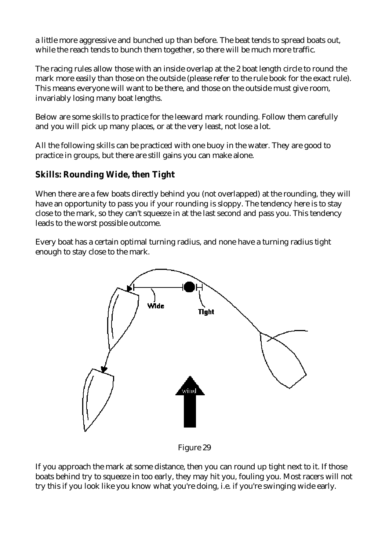a little more aggressive and bunched up than before. The beat tends to spread boats out, while the reach tends to bunch them together, so there will be much more traffic.

The racing rules allow those with an inside overlap at the 2 boat length circle to round the mark more easily than those on the outside (please refer to the rule book for the exact rule). This means everyone will want to be there, and those on the outside must give room, invariably losing many boat lengths.

Below are some skills to practice for the leeward mark rounding. Follow them carefully and you will pick up many places, or at the very least, not lose a lot.

All the following skills can be practiced with one buoy in the water. They are good to practice in groups, but there are still gains you can make alone.

### **Skills: Rounding Wide, then Tight**

When there are a few boats directly behind you (not overlapped) at the rounding, they will have an opportunity to pass you if your rounding is sloppy. The tendency here is to stay close to the mark, so they can't squeeze in at the last second and pass you. This tendency leads to the worst possible outcome.

Every boat has a certain optimal turning radius, and none have a turning radius tight enough to stay close to the mark.



Figure 29

If you approach the mark at some distance, then you can round up tight next to it. If those boats behind try to squeeze in too early, they may hit you, fouling you. Most racers will not try this if you look like you know what you're doing, i.e. if you're swinging wide early.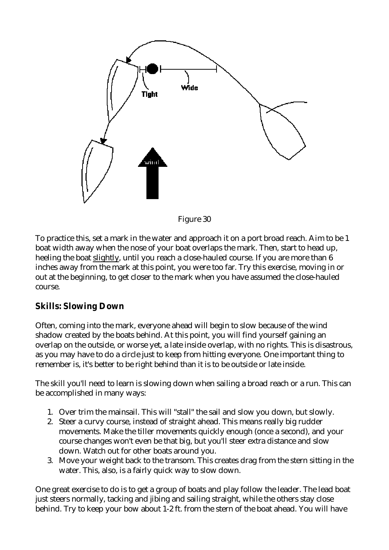

Figure 30

To practice this, set a mark in the water and approach it on a port broad reach. Aim to be 1 boat width away when the nose of your boat overlaps the mark. Then, start to head up, heeling the boat slightly, until you reach a close-hauled course. If you are more than 6 inches away from the mark at this point, you were too far. Try this exercise, moving in or out at the beginning, to get closer to the mark when you have assumed the close-hauled course.

### **Skills: Slowing Down**

Often, coming into the mark, everyone ahead will begin to slow because of the wind shadow created by the boats behind. At this point, you will find yourself gaining an overlap on the outside, or worse yet, a late inside overlap, with no rights. This is disastrous, as you may have to do a circle just to keep from hitting everyone. One important thing to remember is, it's better to be right behind than it is to be outside or late inside.

The skill you'll need to learn is slowing down when sailing a broad reach or a run. This can be accomplished in many ways:

- 1. Over trim the mainsail. This will "stall" the sail and slow you down, but slowly.
- 2. Steer a curvy course, instead of straight ahead. This means really big rudder movements. Make the tiller movements quickly enough (once a second), and your course changes won't even be that big, but you'll steer extra distance and slow down. Watch out for other boats around you.
- 3. Move your weight back to the transom. This creates drag from the stern sitting in the water. This, also, is a fairly quick way to slow down.

One great exercise to do is to get a group of boats and play follow the leader. The lead boat just steers normally, tacking and jibing and sailing straight, while the others stay close behind. Try to keep your bow about 1-2 ft. from the stern of the boat ahead. You will have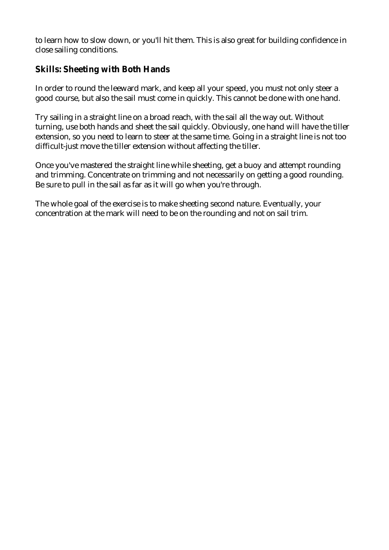to learn how to slow down, or you'll hit them. This is also great for building confidence in close sailing conditions.

### **Skills: Sheeting with Both Hands**

In order to round the leeward mark, and keep all your speed, you must not only steer a good course, but also the sail must come in quickly. This cannot be done with one hand.

Try sailing in a straight line on a broad reach, with the sail all the way out. Without turning, use both hands and sheet the sail quickly. Obviously, one hand will have the tiller extension, so you need to learn to steer at the same time. Going in a straight line is not too difficult-just move the tiller extension without affecting the tiller.

Once you've mastered the straight line while sheeting, get a buoy and attempt rounding and trimming. Concentrate on trimming and not necessarily on getting a good rounding. Be sure to pull in the sail as far as it will go when you're through.

The whole goal of the exercise is to make sheeting second nature. Eventually, your concentration at the mark will need to be on the rounding and not on sail trim.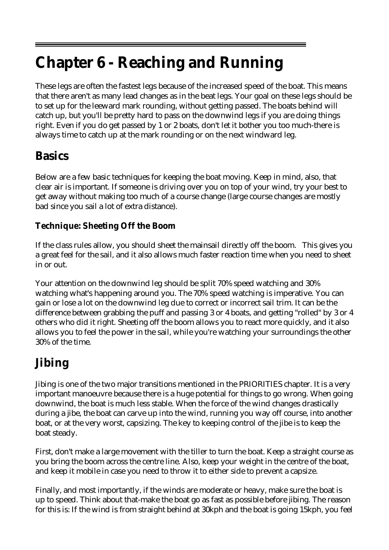# **Chapter 6 - Reaching and Running**

These legs are often the fastest legs because of the increased speed of the boat. This means that there aren't as many lead changes as in the beat legs. Your goal on these legs should be to set up for the leeward mark rounding, without getting passed. The boats behind will catch up, but you'll be pretty hard to pass on the downwind legs if you are doing things right. Even if you do get passed by 1 or 2 boats, don't let it bother you too much-there is always time to catch up at the mark rounding or on the next windward leg.

### **Basics**

Below are a few basic techniques for keeping the boat moving. Keep in mind, also, that clear air is important. If someone is driving over you on top of your wind, try your best to get away without making too much of a course change (large course changes are mostly bad since you sail a lot of extra distance).

### **Technique: Sheeting Off the Boom**

If the class rules allow, you should sheet the mainsail directly off the boom. This gives you a great feel for the sail, and it also allows much faster reaction time when you need to sheet in or out.

Your attention on the downwind leg should be split 70% speed watching and 30% watching what's happening around you. The 70% speed watching is imperative. You can gain or lose a lot on the downwind leg due to correct or incorrect sail trim. It can be the difference between grabbing the puff and passing 3 or 4 boats, and getting "rolled" by 3 or 4 others who did it right. Sheeting off the boom allows you to react more quickly, and it also allows you to feel the power in the sail, while you're watching your surroundings the other 30% of the time.

# **Jibing**

Jibing is one of the two major transitions mentioned in the PRIORITIES chapter. It is a very important manoeuvre because there is a huge potential for things to go wrong. When going downwind, the boat is much less stable. When the force of the wind changes drastically during a jibe, the boat can carve up into the wind, running you way off course, into another boat, or at the very worst, capsizing. The key to keeping control of the jibe is to keep the boat steady.

First, don't make a large movement with the tiller to turn the boat. Keep a straight course as you bring the boom across the centre line. Also, keep your weight in the centre of the boat, and keep it mobile in case you need to throw it to either side to prevent a capsize.

Finally, and most importantly, if the winds are moderate or heavy, make sure the boat is up to speed. Think about that-make the boat go as fast as possible before jibing. The reason for this is: If the wind is from straight behind at 30kph and the boat is going 15kph, you feel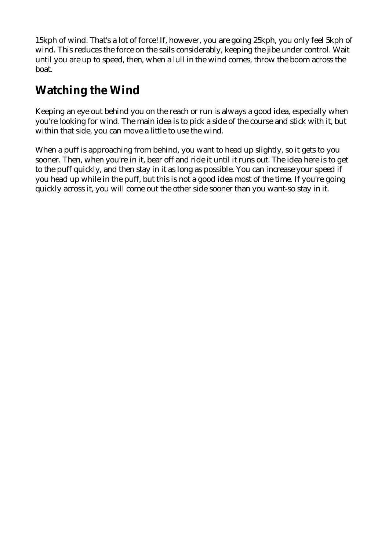15kph of wind. That's a lot of force! If, however, you are going 25kph, you only feel 5kph of wind. This reduces the force on the sails considerably, keeping the jibe under control. Wait until you are up to speed, then, when a lull in the wind comes, throw the boom across the boat.

# **Watching the Wind**

Keeping an eye out behind you on the reach or run is always a good idea, especially when you're looking for wind. The main idea is to pick a side of the course and stick with it, but within that side, you can move a little to use the wind.

When a puff is approaching from behind, you want to head up slightly, so it gets to you sooner. Then, when you're in it, bear off and ride it until it runs out. The idea here is to get to the puff quickly, and then stay in it as long as possible. You can increase your speed if you head up while in the puff, but this is not a good idea most of the time. If you're going quickly across it, you will come out the other side sooner than you want-so stay in it.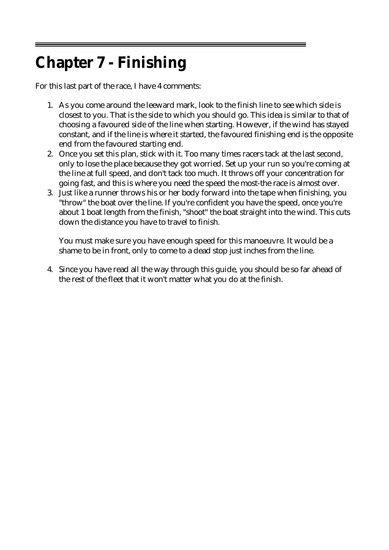# **Chapter 7 - Finishing**

For this last part of the race, I have 4 comments:

- 1. As you come around the leeward mark, look to the finish line to see which side is closest to you. That is the side to which you should go. This idea is similar to that of choosing a favoured side of the line when starting. However, if the wind has stayed constant, and if the line is where it started, the favoured finishing end is the opposite end from the favoured starting end.
- 2. Once you set this plan, stick with it. Too many times racers tack at the last second, only to lose the place because they got worried. Set up your run so you're coming at the line at full speed, and don't tack too much. It throws off your concentration for going fast, and this is where you need the speed the most-the race is almost over.
- 3. Just like a runner throws his or her body forward into the tape when finishing, you "throw" the boat over the line. If you're confident you have the speed, once you're about 1 boat length from the finish, "shoot" the boat straight into the wind. This cuts down the distance you have to travel to finish.

You must make sure you have enough speed for this manoeuvre. It would be a shame to be in front, only to come to a dead stop just inches from the line.

4. Since you have read all the way through this guide, you should be so far ahead of the rest of the fleet that it won't matter what you do at the finish.